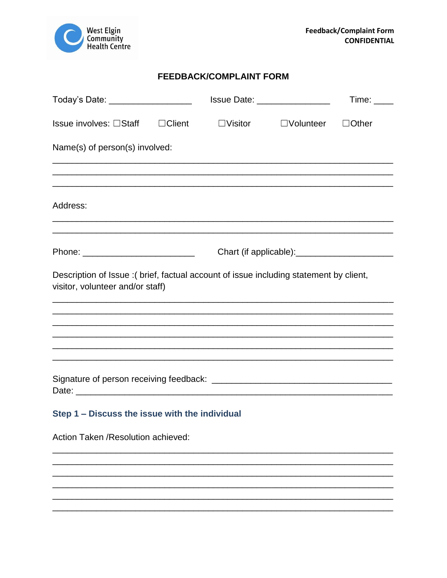

## **FEEDBACK/COMPLAINT FORM**

| Today's Date: ____________________                                                                                          |               |                                                                                                                                                                                                           | <b>Issue Date:</b> _________________ | Time:        |  |
|-----------------------------------------------------------------------------------------------------------------------------|---------------|-----------------------------------------------------------------------------------------------------------------------------------------------------------------------------------------------------------|--------------------------------------|--------------|--|
| Issue involves: □Staff                                                                                                      | $\Box$ Client | $\Box$ Visitor                                                                                                                                                                                            | $\Box$ Volunteer                     | $\Box$ Other |  |
| Name(s) of person(s) involved:                                                                                              |               |                                                                                                                                                                                                           |                                      |              |  |
| Address:                                                                                                                    |               |                                                                                                                                                                                                           |                                      |              |  |
|                                                                                                                             |               |                                                                                                                                                                                                           |                                      |              |  |
| Description of Issue : ( brief, factual account of issue including statement by client,<br>visitor, volunteer and/or staff) |               |                                                                                                                                                                                                           |                                      |              |  |
|                                                                                                                             |               | ,我们也不能在这里的时候,我们也不能在这里的时候,我们也不能不能不能不能不能不能不能不能不能不能不能不能不能不能不能。""我们的是,我们也不能不能不能不能不能不<br><u> 1990 - Johann Stoff, amerikan bestein de stad in de stad in de stad in de stad in de stad in de stad in de st</u> |                                      |              |  |
|                                                                                                                             |               |                                                                                                                                                                                                           |                                      |              |  |
|                                                                                                                             |               |                                                                                                                                                                                                           |                                      |              |  |
| Step 1 - Discuss the issue with the individual                                                                              |               |                                                                                                                                                                                                           |                                      |              |  |
| Action Taken / Resolution achieved:                                                                                         |               |                                                                                                                                                                                                           |                                      |              |  |
|                                                                                                                             |               |                                                                                                                                                                                                           |                                      |              |  |
|                                                                                                                             |               |                                                                                                                                                                                                           |                                      |              |  |
|                                                                                                                             |               |                                                                                                                                                                                                           |                                      |              |  |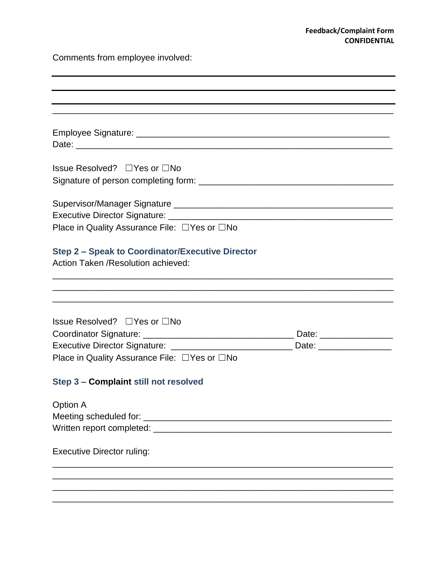Comments from employee involved:

| Issue Resolved? □ Yes or □ No                                                                  |  |  |  |  |
|------------------------------------------------------------------------------------------------|--|--|--|--|
|                                                                                                |  |  |  |  |
|                                                                                                |  |  |  |  |
|                                                                                                |  |  |  |  |
|                                                                                                |  |  |  |  |
| Place in Quality Assurance File: $\Box$ Yes or $\Box$ No                                       |  |  |  |  |
|                                                                                                |  |  |  |  |
| <b>Step 2 - Speak to Coordinator/Executive Director</b><br>Action Taken / Resolution achieved: |  |  |  |  |
|                                                                                                |  |  |  |  |
|                                                                                                |  |  |  |  |
|                                                                                                |  |  |  |  |
|                                                                                                |  |  |  |  |
| Issue Resolved? □ Yes or □ No                                                                  |  |  |  |  |
|                                                                                                |  |  |  |  |
| Executive Director Signature: _________________________________Date: ___________               |  |  |  |  |
| Place in Quality Assurance File: □ Yes or □ No                                                 |  |  |  |  |
| Step 3 - Complaint still not resolved                                                          |  |  |  |  |
|                                                                                                |  |  |  |  |
| Option A                                                                                       |  |  |  |  |
|                                                                                                |  |  |  |  |
|                                                                                                |  |  |  |  |
| <b>Executive Director ruling:</b>                                                              |  |  |  |  |
|                                                                                                |  |  |  |  |
|                                                                                                |  |  |  |  |
|                                                                                                |  |  |  |  |
|                                                                                                |  |  |  |  |
|                                                                                                |  |  |  |  |